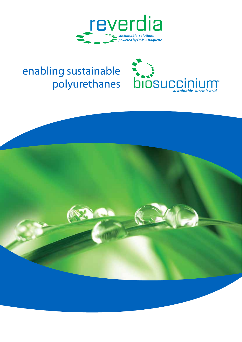

## enabling sustainable polyurethanes



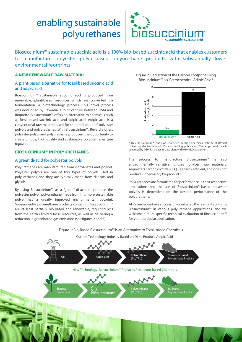# enabling sustainable



Biosuccinium™ sustainable succinic acid is a 100% bio-based succinic acid that enables customers to manufacture polyester polyol-based polyurethane products with substantially lower environmental footprints.

## **a new renewable raw material**

## A plant-based alternative for fossil-based succinic acid and adipic acid

Biosuccinium™ sustainable succinic acid is produced from renewable, plant-based resources which are converted via fermentation, a biotechnology process. This novel process was developed by Reverdia, a joint venture between DSM and Roquette. Biosuccinium™ offers an alternative to chemicals such as fossil-based succinic acid and adipic acid. Adipic acid is a conventional raw material used for the production of polyester polyols and polyurethanes. With Biosuccinium™, Reverdia offers polyester polyol and polyurethane producers the opportunity to create unique, high quality and sustainable polyurethanes (see figure 1).

## **Biosuccinium™ in polyurethanes**

## A green di-acid for polyester polyols

Polyurethanes are manufactured from isocyanates and polyols. Polyester polyols are one of two types of polyols used in polyurethanes and they are typically made from di-acids and glycols.

By using Biosuccinium™ as a "green" di-acid to produce the polyester polyol, polyurethane made from this more sustainable polyol has a greatly improved environmental footprint. Subsequently, polyurethane products containing Biosuccinium™ are at least partially bio-based and renewable, requiring less from the earth's limited fossil resources, as well as delivering a reduction in greenhouse gas emissions (see figures 2 and 3).

Figure 2: Reduction of the Carbon Footprint Using Biosuccinium™ vs. Petrochemical Adipic Acid\*



\* This Biosuccinium™ study was executed by the Copernicus Institute at Utrecht University, the Netherlands. Data is pending publication. The adipic acid data is executed by DSM for a best in class plant with 98%  $N_2$ O abatement.

The process to manufacture Biosuccinium™ is also environmentally sensitive. It uses non-fossil raw materials, sequesters carbon dioxide  $(CO_2)$ , is energy efficient, and does not produce unnecessary by-products.

Polyurethanes are formulated for performance in their respective applications and the use of Biosuccinium™-based polyester polyols is dependent on the desired performance of the polyurethane.

At Reverdia, we have successfully evaluated the feasibility of using Biosuccinium™ in various polyurethane applications, and we welcome a more specific technical evaluation of Biosuccinium™ for your particular application.

Figure 1: Bio-Based Biosuccinium™ is an Alternative to Fossil-based Chemicals

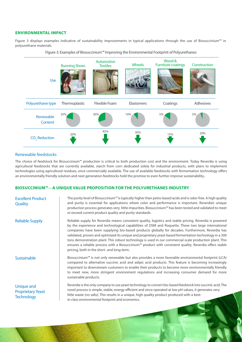## **Environmental impact**

Figure 3 displays examples indicative of sustainability improvements in typical applications through the use of Biosuccinium™ in polyurethane materials.





## Renewable feedstocks

The choice of feedstock for Biosuccinium™ production is critical to both production cost and the environment. Today Reverdia is using agricultural feedstocks that are currently available, starch from corn dedicated solely for industrial products, with plans to implement technologies using agricultural residues, once commercially available. The use of available feedstocks with fermentation technology offers an environmentally friendly solution and next generation feedstocks hold the promise to even further improve sustainability..

## **Biosuccinium™**—**A unique VALUE PROPOSITION FOR the POLYURETHANES industry**

| <b>Excellent Product</b><br>Quality                         | The purity level of Biosuccinium™ is typically higher than petro-based acids and is odor-free. A high quality<br>and purity is essential for applications where color and performance is important. Reverdia's unique<br>production process generates very little impurities. Biosuccinium™ has been tested and validated to meet<br>or exceed current product quality and purity standards.                                                                                                                                                                                                                                                                                                       |
|-------------------------------------------------------------|----------------------------------------------------------------------------------------------------------------------------------------------------------------------------------------------------------------------------------------------------------------------------------------------------------------------------------------------------------------------------------------------------------------------------------------------------------------------------------------------------------------------------------------------------------------------------------------------------------------------------------------------------------------------------------------------------|
| <b>Reliable Supply</b>                                      | Reliable supply for Reverdia means consistent quality, logistics and stable pricing. Reverdia is powered<br>by the experience and technological capabilities of DSM and Roquette. These two large international<br>companies have been supplying bio-based products globally for decades. Furthermore, Reverdia has<br>validated, proven and optimized its unique and proprietary yeast-based fermentation technology in a 300<br>tons demonstration plant. This robust technology is used in our commercial scale production plant. This<br>ensures a reliable process with a Biosuccinium™ product with consistent quality. Reverdia offers stable<br>pricing, both in the short- and long-term. |
| Sustainable                                                 | Biosuccinium <sup>™</sup> is not only renewable but also provides a more favorable environmental footprint (LCA)<br>compared to alternative succinic acid and adipic acid products. This feature is becoming increasingly<br>important to downstream customers to enable their products to become more environmentally friendly<br>to meet new, more stringent environment regulations and increasing consumer demand for more<br>sustainable products.                                                                                                                                                                                                                                            |
| Unique and<br><b>Proprietary Yeast</b><br><b>Technology</b> | Reverdia is the only company to use yeast technology to convert bio-based feedstock into succinic acid. The<br>novel process is simple, stable, energy efficient and since operated at low pH values, it generates very<br>little waste (no salts). This results in a unique, high quality product produced with a best-<br>in-class environmental footprint and economics.                                                                                                                                                                                                                                                                                                                        |